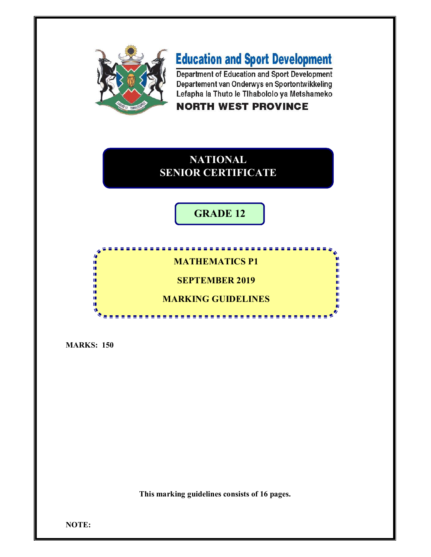

# **Education and Sport Development**

Department of Education and Sport Development Departement van Onderwys en Sportontwikkeling Lefapha la Thuto le Tihabololo ya Metshameko

### **NORTH WEST PROVINCE**

### **NATIONAL SENIOR CERTIFICATE**

## **GRADE 12**

### **MATHEMATICS P1**

..................

**SEPTEMBER 2019**

### **MARKING GUIDELINES**

**MARKS: 150**

H ı ú, ú. ú. I. π. ш

**This marking guidelines consists of 16 pages.**

**NOTE:**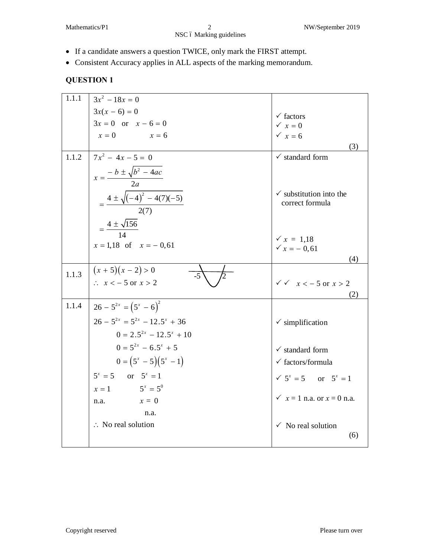- · If a candidate answers a question TWICE, only mark the FIRST attempt.
- · Consistent Accuracy applies in ALL aspects of the marking memorandum.

| 1.1.1 | $3x^2 - 18x = 0$                           |                                                       |
|-------|--------------------------------------------|-------------------------------------------------------|
|       | $3x(x-6) = 0$                              | $\checkmark$ factors                                  |
|       | $3x = 0$ or $x - 6 = 0$                    | $\times x = 0$                                        |
|       | $x=0$<br>$x = 6$                           | $\times x = 6$                                        |
|       |                                            | (3)                                                   |
| 1.1.2 | $7x^2 - 4x - 5 = 0$                        | $\checkmark$ standard form                            |
|       | $x = \frac{-b \pm \sqrt{b^2 - 4ac}}{2a}$   |                                                       |
|       | $=\frac{4\pm\sqrt{(-4)^2-4(7)(-5)}}{2(7)}$ | $\checkmark$ substitution into the<br>correct formula |
|       | $=\frac{4\pm\sqrt{156}}{14}$               | $\sqrt{x} = 1.18$                                     |
|       | $x = 1.18$ of $x = -0.61$                  | $\sqrt{x} = -0.61$                                    |
|       |                                            | (4)                                                   |
| 1.1.3 | $(x+5)(x-2) > 0$<br>-5                     |                                                       |
|       | $\therefore$ $x < -5$ or $x > 2$           | $\sqrt{x}$ $x < -5$ or $x > 2$                        |
|       |                                            | (2)                                                   |
| 1.1.4 | $26-5^{2x} = (5^{x} - 6)^{2}$              |                                                       |
|       | $26 - 5^{2x} = 5^{2x} - 12.5^{x} + 36$     | $\checkmark$ simplification                           |
|       | $0 = 2.5^{2x} - 12.5^{x} + 10$             |                                                       |
|       | $0 = 5^{2x} - 6.5^{x} + 5$                 | $\checkmark$ standard form                            |
|       | $0 = (5^x - 5)(5^x - 1)$                   | $\checkmark$ factors/formula                          |
|       | $5^x = 5$ or $5^x = 1$                     | $\sqrt{5^x} = 5$ or $5^x = 1$                         |
|       | $x = 1$ $5^x = 5^0$                        |                                                       |
|       | $x = 0$<br>n.a.                            | $\times x = 1$ n.a. or $x = 0$ n.a.                   |
|       | n.a.                                       |                                                       |
|       | $\therefore$ No real solution              | $\checkmark$ No real solution<br>(6)                  |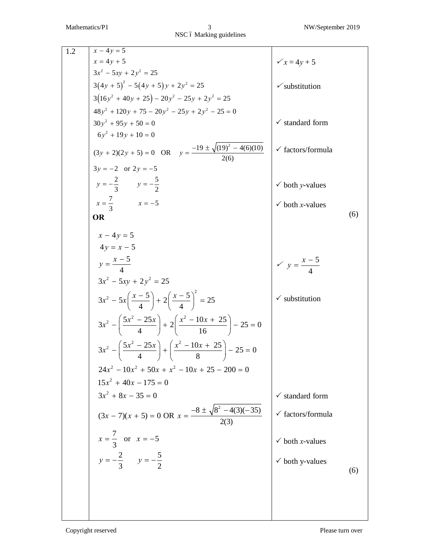| 1.2 | $x - 4y = 5$                                                                                  |                                    |     |
|-----|-----------------------------------------------------------------------------------------------|------------------------------------|-----|
|     | $x = 4y + 5$<br>$3x^2 - 5xy + 2y^2 = 25$                                                      | $x = 4y + 5$                       |     |
|     | $3(4y+5)^2 - 5(4y+5)y + 2y^2 = 25$                                                            |                                    |     |
|     |                                                                                               | $\checkmark$ substitution          |     |
|     | $3(16y^2 + 40y + 25) - 20y^2 - 25y + 2y^2 = 25$                                               |                                    |     |
|     | $48y^2 + 120y + 75 - 20y^2 - 25y + 2y^2 - 25 = 0$<br>$30y^2 + 95y + 50 = 0$                   | $\checkmark$ standard form         |     |
|     | $6y^2 + 19y + 10 = 0$                                                                         |                                    |     |
|     | $(3y + 2)(2y + 5) = 0$ OR $y = \frac{-19 \pm \sqrt{(19)^2 - 4(6)(10)}}{2(6)}$                 | $\checkmark$ factors/formula       |     |
|     |                                                                                               |                                    |     |
|     | $3y = -2$ or $2y = -5$<br>$y = -\frac{2}{3}$ $y = -\frac{5}{2}$                               | $\checkmark$ both y-values         |     |
|     | $x = \frac{7}{2}$ $x = -5$                                                                    | $\checkmark$ both <i>x</i> -values |     |
|     | OR                                                                                            |                                    | (6) |
|     |                                                                                               |                                    |     |
|     | $x - 4y = 5$                                                                                  |                                    |     |
|     | $4y = x - 5$                                                                                  |                                    |     |
|     | $y = \frac{x-5}{4}$                                                                           | $\sqrt{y} = \frac{x-5}{4}$         |     |
|     | $3x^2 - 5xy + 2y^2 = 25$                                                                      |                                    |     |
|     |                                                                                               |                                    |     |
|     | $3x^{2} - 5x\left(\frac{x-5}{4}\right) + 2\left(\frac{x-5}{4}\right)^{2} = 25$                | $\checkmark$ substitution          |     |
|     | $3x^2 - \left(\frac{5x^2 - 25x}{4}\right) + 2\left(\frac{x^2 - 10x + 25}{16}\right) - 25 = 0$ |                                    |     |
|     | $3x^2 - \left(\frac{5x^2 - 25x}{4}\right) + \left(\frac{x^2 - 10x + 25}{8}\right) - 25 = 0$   |                                    |     |
|     | $24x^2 - 10x^2 + 50x + x^2 - 10x + 25 - 200 = 0$                                              |                                    |     |
|     | $15x^2 + 40x - 175 = 0$                                                                       |                                    |     |
|     | $3x^2 + 8x - 35 = 0$                                                                          | $\checkmark$ standard form         |     |
|     | $(3x-7)(x+5) = 0 \text{ OR } x = \frac{-8 \pm \sqrt{8^2 - 4(3)(-35)}}{2(3)}$                  | $\checkmark$ factors/formula       |     |
|     | $x = \frac{7}{3}$ or $x = -5$                                                                 | $\checkmark$ both <i>x</i> -values |     |
|     | $y = -\frac{2}{3}$ $y = -\frac{5}{2}$                                                         | $\checkmark$ both y-values         |     |
|     |                                                                                               |                                    | (6) |
|     |                                                                                               |                                    |     |
|     |                                                                                               |                                    |     |
|     |                                                                                               |                                    |     |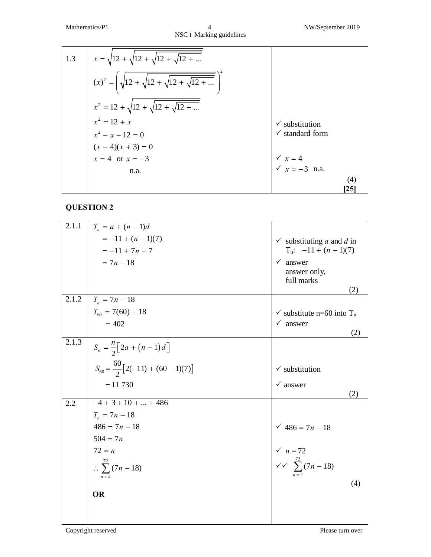Mathematics/P1 4 NW/September 2019 NSC ó Marking guidelines

| 1.3 | $x = \sqrt{12 + \sqrt{12 + \sqrt{12 + \dots}}}}$      |                                                                          |     |
|-----|-------------------------------------------------------|--------------------------------------------------------------------------|-----|
|     | $(x)^{2} = \sqrt{12 + \sqrt{12 + \sqrt{12 + \dots}}}$ |                                                                          |     |
|     | $x^2 = 12 + \sqrt{12 + \sqrt{12 + \dots}}$            |                                                                          |     |
|     | $x^2 = 12 + x$                                        | $\checkmark$ substitution                                                |     |
|     | $x^2 - x - 12 = 0$                                    | $\checkmark$ standard form                                               |     |
|     | $(x-4)(x + 3) = 0$<br>$x = 4$ or $x = -3$             |                                                                          |     |
|     |                                                       | $\begin{cases}\n\sqrt{x} = 4 \\ \sqrt{x} = -3 \text{ n.a.}\n\end{cases}$ |     |
|     | n.a.                                                  |                                                                          |     |
|     |                                                       |                                                                          | (4) |
|     |                                                       | 25                                                                       |     |

### **QUESTION 2**

| 2.1.1 | $T_n = a + (n-1)d$                             |                                                                                                            |
|-------|------------------------------------------------|------------------------------------------------------------------------------------------------------------|
|       | $=-11+(n-1)(7)$                                | $\checkmark$ substituting a and d in                                                                       |
|       | $=-11+7n-7$                                    | $T_n$ : $-11 + (n - 1)(7)$                                                                                 |
|       | $= 7n - 18$                                    | $\checkmark$ answer                                                                                        |
|       |                                                | answer only,                                                                                               |
|       |                                                | full marks<br>(2)                                                                                          |
| 2.1.2 | $T_n = 7n - 18$                                |                                                                                                            |
|       | $T_{60} = 7(60) - 18$                          | $\checkmark$ substitute n=60 into T <sub>n</sub>                                                           |
|       | $= 402$                                        | $\checkmark$ answer                                                                                        |
|       |                                                | (2)                                                                                                        |
| 2.1.3 | $S_n = \frac{n}{2} [2a + (n-1)d]$              |                                                                                                            |
|       |                                                |                                                                                                            |
|       | $S_{60} = \frac{60}{2} [2(-11) + (60 - 1)(7)]$ | $\checkmark$ substitution                                                                                  |
|       | $= 11 730$                                     | $\checkmark$ answer                                                                                        |
|       |                                                | (2)                                                                                                        |
| 2.2   | $-4 + 3 + 10 +  + 486$                         |                                                                                                            |
|       | $T_n = 7n - 18$                                |                                                                                                            |
|       | $486 = 7n - 18$                                |                                                                                                            |
|       | $504 = 7n$                                     |                                                                                                            |
|       | $72 = n$                                       |                                                                                                            |
|       | $\therefore \sum_{n=2}^{72} (7n - 18)$         | $\checkmark$ 486 = 7n - 18<br>$\checkmark$ n = 72<br>$\checkmark$ $\checkmark$ $\sum_{n=2}^{72}$ (7n - 18) |
|       |                                                |                                                                                                            |
|       |                                                | (4)                                                                                                        |
|       | <b>OR</b>                                      |                                                                                                            |
|       |                                                |                                                                                                            |
|       |                                                |                                                                                                            |

Copyright reserved Please turn over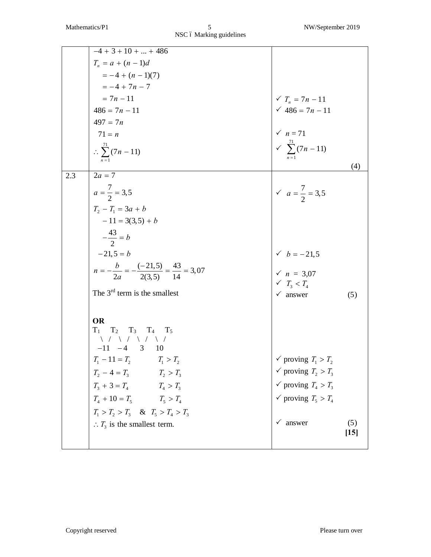|     | $-4+3+10++486$                                                                                                                                                                                                                                                                                                                                                                                                            |                                                       |        |
|-----|---------------------------------------------------------------------------------------------------------------------------------------------------------------------------------------------------------------------------------------------------------------------------------------------------------------------------------------------------------------------------------------------------------------------------|-------------------------------------------------------|--------|
|     | $T_n = a + (n - 1)d$                                                                                                                                                                                                                                                                                                                                                                                                      |                                                       |        |
|     |                                                                                                                                                                                                                                                                                                                                                                                                                           |                                                       |        |
|     | $= -4 + (n - 1)(7)$<br>= -4 + 7n - 7                                                                                                                                                                                                                                                                                                                                                                                      |                                                       |        |
|     | $=7n-11$                                                                                                                                                                                                                                                                                                                                                                                                                  | $\sqrt{T_n} = 7n - 11$                                |        |
|     | $486 = 7n - 11$                                                                                                                                                                                                                                                                                                                                                                                                           | $486 = 7n - 11$                                       |        |
|     | $497 = 7n$                                                                                                                                                                                                                                                                                                                                                                                                                |                                                       |        |
|     | $71 = n$                                                                                                                                                                                                                                                                                                                                                                                                                  | $\times n = 71$<br>$\times \sum_{n=1}^{71} (7n - 11)$ |        |
|     | $\therefore \sum_{1}^{71} (7n - 11)$                                                                                                                                                                                                                                                                                                                                                                                      |                                                       |        |
|     |                                                                                                                                                                                                                                                                                                                                                                                                                           |                                                       |        |
| 2.3 | $2a = 7$                                                                                                                                                                                                                                                                                                                                                                                                                  |                                                       | (4)    |
|     |                                                                                                                                                                                                                                                                                                                                                                                                                           |                                                       |        |
|     | $a = \frac{7}{2} = 3.5$                                                                                                                                                                                                                                                                                                                                                                                                   | $\sqrt{a} = \frac{7}{2} = 3.5$                        |        |
|     | $T_2 - T_1 = 3a + b$                                                                                                                                                                                                                                                                                                                                                                                                      |                                                       |        |
|     | $-11 = 3(3,5) + b$                                                                                                                                                                                                                                                                                                                                                                                                        |                                                       |        |
|     | $-\frac{43}{2} = b$                                                                                                                                                                                                                                                                                                                                                                                                       |                                                       |        |
|     | $-21,5 = b$                                                                                                                                                                                                                                                                                                                                                                                                               | $\checkmark$ $b = -21,5$                              |        |
|     | $n = -\frac{b}{2a} = -\frac{(-21,5)}{2(3,5)} = \frac{43}{14} = 3,07$                                                                                                                                                                                                                                                                                                                                                      | $\sqrt{n} = 3.07$<br>$\sqrt{T_3} < T_4$               |        |
|     |                                                                                                                                                                                                                                                                                                                                                                                                                           |                                                       |        |
|     | The $3rd$ term is the smallest                                                                                                                                                                                                                                                                                                                                                                                            | $\checkmark$ answer                                   | (5)    |
|     |                                                                                                                                                                                                                                                                                                                                                                                                                           |                                                       |        |
|     | <b>OR</b>                                                                                                                                                                                                                                                                                                                                                                                                                 |                                                       |        |
|     |                                                                                                                                                                                                                                                                                                                                                                                                                           |                                                       |        |
|     | $\begin{tabular}{ccccc} T_1 & T_2 & T_3 & T_4 & T_5 \\ & \mbox{\hspace{0.2cm}} & \mbox{\hspace{0.2cm}} & \mbox{\hspace{0.2cm}} & \mbox{\hspace{0.2cm}} & \mbox{\hspace{0.2cm}} & \mbox{\hspace{0.2cm}} & \mbox{\hspace{0.2cm}} & \mbox{\hspace{0.2cm}} & \mbox{\hspace{0.2cm}} & \mbox{\hspace{0.2cm}} & \mbox{\hspace{0.2cm}} & \mbox{\hspace{0.2cm}} & \mbox{\hspace{0.2cm}} & \mbox{\hspace{0.2cm}} & \mbox{\hspace{0$ |                                                       |        |
|     | $T_1 - 11 = T_2$ $T_1 > T_2$                                                                                                                                                                                                                                                                                                                                                                                              | $\checkmark$ proving $T_1 > T_2$                      |        |
|     |                                                                                                                                                                                                                                                                                                                                                                                                                           | $\checkmark$ proving $T_2 > T_3$                      |        |
|     |                                                                                                                                                                                                                                                                                                                                                                                                                           | $\checkmark$ proving $T_4 > T_3$                      |        |
|     |                                                                                                                                                                                                                                                                                                                                                                                                                           | $\checkmark$ proving $T_5 > T_4$                      |        |
|     | $T_2 - 4 = T_3$<br>$T_3 + 3 = T_4$<br>$T_4 + 10 = T_5$<br>$T_5 > T_4$<br>$T_1 > T_2 > T_3$<br>$T_3 \& T_5 > T_4 > T_3$                                                                                                                                                                                                                                                                                                    |                                                       |        |
|     |                                                                                                                                                                                                                                                                                                                                                                                                                           | answer                                                | (5)    |
|     | $\therefore T_3$ is the smallest term.                                                                                                                                                                                                                                                                                                                                                                                    |                                                       | $[15]$ |
|     |                                                                                                                                                                                                                                                                                                                                                                                                                           |                                                       |        |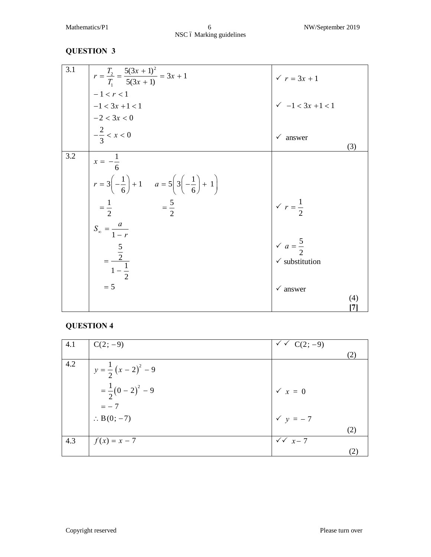Mathematics/P1 6 NW/September 2019 NSC ó Marking guidelines

#### **QUESTION 3**

| 3.1 | $r = \frac{T_2}{T_1} = \frac{5(3x+1)^2}{5(3x+1)} = 3x+1$                                                      | $\sqrt{r} = 3x + 1$             |
|-----|---------------------------------------------------------------------------------------------------------------|---------------------------------|
|     | $-1 < r < 1$<br>$-1 < 3x + 1 < 1$                                                                             | $-1 < 3x + 1 < 1$               |
|     | $-2 < 3x < 0$<br>$-\frac{2}{3} < x < 0$                                                                       | $\checkmark$ answer<br>(3)      |
| 3.2 | $x = -\frac{1}{6}$<br>$r = 3\left(-\frac{1}{6}\right) + 1$ $a = 5\left(3\left(-\frac{1}{6}\right) + 1\right)$ |                                 |
|     | $=\frac{5}{2}$<br>$=\frac{1}{2}$                                                                              | $\sqrt{r} = \frac{1}{2}$        |
|     | $S_{\infty} = \frac{a}{1-r}$                                                                                  | $\sqrt{a} = \frac{5}{2}$        |
|     | $=\frac{\frac{5}{2}}{1-\frac{1}{2}}$                                                                          | $\checkmark$ substitution       |
|     | $= 5$                                                                                                         | $\checkmark$ answer<br>(4)<br>7 |

| 4.1 | $C(2, -9)$                   | $\sqrt{x}$ C(2; -9)  |     |
|-----|------------------------------|----------------------|-----|
|     |                              |                      | (2) |
| 4.2 | $y = \frac{1}{2}(x-2)^2 - 9$ |                      |     |
|     | $=\frac{1}{2}(0-2)^2-9$      | $\checkmark$ $x = 0$ |     |
|     | $=-7$                        |                      |     |
|     | $\therefore$ B(0; -7)        | $\checkmark$ y = -7  |     |
|     |                              |                      | (2) |
| 4.3 | $f(x) = x - 7$               | $\sqrt{x}$ x - 7     |     |
|     |                              |                      | (2) |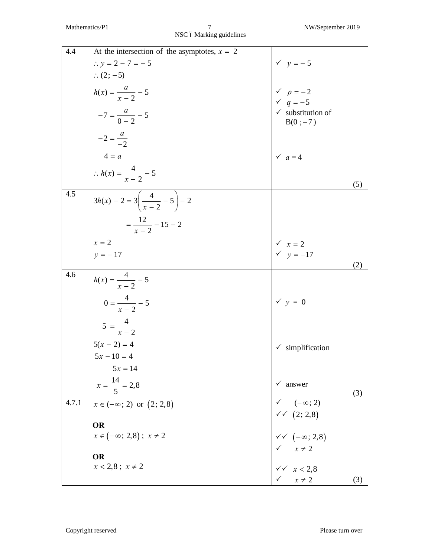NSC ó Marking guidelines

| 4.4   | At the intersection of the asymptotes, $x = 2$    |                                                                              |     |
|-------|---------------------------------------------------|------------------------------------------------------------------------------|-----|
|       | $\therefore$ y = 2 – 7 = – 5                      | $\checkmark$ $y = -5$                                                        |     |
|       | $\therefore$ (2; -5)                              |                                                                              |     |
|       | $h(x) = \frac{a}{x-2} - 5$                        |                                                                              |     |
|       |                                                   | $\begin{array}{cc}\n\checkmark & p = -2 \\ \checkmark & q = -5\n\end{array}$ |     |
|       | $-7 = \frac{a}{0-2} - 5$                          | $\checkmark$ substitution of                                                 |     |
|       |                                                   | $B(0; -7)$                                                                   |     |
|       | $-2 = \frac{a}{-2}$                               |                                                                              |     |
|       | $4 = a$                                           | $\checkmark$ $a=4$                                                           |     |
|       | $\therefore h(x) = \frac{4}{x-2} - 5$             |                                                                              |     |
|       |                                                   |                                                                              | (5) |
| 4.5   | $3h(x) - 2 = 3\left(\frac{4}{x-2} - 5\right) - 2$ |                                                                              |     |
|       | $=\frac{12}{x-2}-15-2$                            |                                                                              |     |
|       | $x = 2$                                           |                                                                              |     |
|       | $y = -17$                                         | $\begin{cases}\n\sqrt{x} = 2 \\ \sqrt{y} = -17\n\end{cases}$                 |     |
|       |                                                   |                                                                              | (2) |
| 4.6   | $h(x) = \frac{4}{x-2} - 5$                        |                                                                              |     |
|       | $0 = \frac{4}{x-2} - 5$                           | $\checkmark$ y = 0                                                           |     |
|       | $5 = \frac{4}{x - 2}$                             |                                                                              |     |
|       |                                                   | simplification<br>$\checkmark$                                               |     |
|       | $5(x - 2) = 4$<br>$5x - 10 = 4$                   |                                                                              |     |
|       | $5x = 14$                                         |                                                                              |     |
|       | $x = \frac{14}{5} = 2.8$                          | $\checkmark$ answer                                                          | (3) |
| 4.7.1 | $x \in (-\infty; 2)$ or $(2; 2, 8)$               | $\checkmark$ $(-\infty; 2)$                                                  |     |
|       |                                                   |                                                                              |     |
|       | <b>OR</b>                                         | $\checkmark$ (2; 2,8)<br>$\checkmark$ (- $\infty$ ; 2,8)                     |     |
|       | $x \in (-\infty; 2, 8); x \neq 2$                 |                                                                              |     |
|       | <b>OR</b>                                         |                                                                              |     |
|       | $x < 2,8 ; x \neq 2$                              |                                                                              |     |
|       |                                                   | $x \neq 2$<br>$x \neq 2$<br>$x \neq 2$                                       | (3) |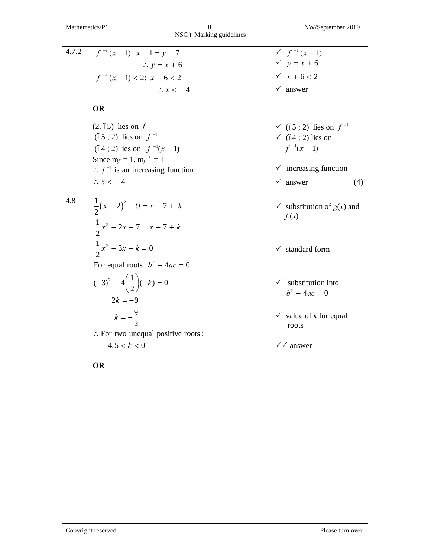NSC ó Marking guidelines

| 4.7.2 | $f^{-1}(x-1)$ : $x-1=y-7$                                                                                                                                                 |                                                                                                                   |
|-------|---------------------------------------------------------------------------------------------------------------------------------------------------------------------------|-------------------------------------------------------------------------------------------------------------------|
|       | $\therefore y = x + 6$                                                                                                                                                    |                                                                                                                   |
|       | $f^{-1}(x-1) < 2$ : $x + 6 < 2$                                                                                                                                           | $\checkmark$ f <sup>-1</sup> (x-1)<br>$\checkmark$ y = x + 6<br>$\checkmark$ x + 6 < 2                            |
|       | $\therefore$ $x < -4$                                                                                                                                                     | $\checkmark$ answer                                                                                               |
|       | <b>OR</b>                                                                                                                                                                 |                                                                                                                   |
|       | $(2, 65)$ lies on f<br>$(65; 2)$ lies on $f^{-1}$<br>$(64; 2)$ lies on $f^{-1}(x-1)$<br>Since $m_f = 1$ , $m_f^{-1} = 1$<br>$\therefore f^{-1}$ is an increasing function | ✓ (65 ; 2) lies on $f^{-1}$<br>$\checkmark$ (64 ; 2) lies on<br>$f^{-1}(x-1)$<br>$\checkmark$ increasing function |
|       | $\therefore$ $x < -4$                                                                                                                                                     | $\checkmark$ answer<br>(4)                                                                                        |
| 4.8   | $\frac{1}{2}(x-2)^2 - 9 = x - 7 + k$<br>$\frac{1}{2}x^2 - 2x - 7 = x - 7 + k$                                                                                             | $\checkmark$ substitution of $g(x)$ and<br>f(x)                                                                   |
|       | $\frac{1}{2}x^2 - 3x - k = 0$<br>For equal roots: $b^2 - 4ac = 0$                                                                                                         | $\checkmark$ standard form                                                                                        |
|       | $(-3)^2 - 4\left(\frac{1}{2}\right)(-k) = 0$<br>$2k = -9$                                                                                                                 | $\checkmark$ substitution into<br>$b^2 - 4ac = 0$                                                                 |
|       | $k = -\frac{9}{2}$<br>: For two unequal positive roots:                                                                                                                   | $\checkmark$ value of <i>k</i> for equal<br>roots                                                                 |
|       | $-4,5 < k < 0$                                                                                                                                                            | $\checkmark$ answer                                                                                               |
|       | OR                                                                                                                                                                        |                                                                                                                   |
|       |                                                                                                                                                                           |                                                                                                                   |
|       |                                                                                                                                                                           |                                                                                                                   |
|       |                                                                                                                                                                           |                                                                                                                   |
|       |                                                                                                                                                                           |                                                                                                                   |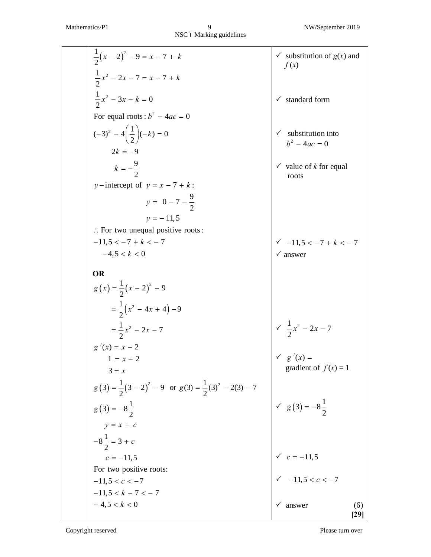| $\frac{1}{2}(x-2)^2 - 9 = x - 7 + k$                                    | $\checkmark$ substitution of $g(x)$ and<br>f(x)      |
|-------------------------------------------------------------------------|------------------------------------------------------|
| $\frac{1}{2}x^2 - 2x - 7 = x - 7 + k$                                   |                                                      |
| $\frac{1}{2}x^2 - 3x - k = 0$                                           | $\checkmark$ standard form                           |
| For equal roots: $b^2 - 4ac = 0$                                        |                                                      |
| $(-3)^2 - 4\left(\frac{1}{2}\right)(-k) = 0$                            | substitution into<br>$\checkmark$<br>$b^2 - 4ac = 0$ |
| $2k = -9$                                                               |                                                      |
| $k = -\frac{9}{2}$                                                      | $\checkmark$ value of <i>k</i> for equal<br>roots    |
| y-intercept of $y = x - 7 + k$ :                                        |                                                      |
| $y = 0 - 7 - \frac{9}{2}$                                               |                                                      |
| $y = -11,5$                                                             |                                                      |
| $\therefore$ For two unequal positive roots:                            |                                                      |
| $-11.5 < -7 + k < -7$                                                   | $\sqrt{-11,5} < -7 + k < -7$                         |
| $-4.5 < k < 0$                                                          | $\checkmark$ answer                                  |
| OR                                                                      |                                                      |
| $g(x) = \frac{1}{2}(x-2)^2 - 9$                                         |                                                      |
| $=\frac{1}{2}(x^2-4x+4)-9$                                              |                                                      |
| $=\frac{1}{2}x^2-2x-7$                                                  | $\sqrt{\frac{1}{2}x^2-2x-7}$                         |
| $g'(x) = x - 2$                                                         |                                                      |
| $1 = x - 2$                                                             | $\checkmark$ g'(x) =<br>gradient of $f(x) = 1$       |
| $3 = x$                                                                 |                                                      |
| $g(3) = \frac{1}{2}(3-2)^2 - 9$ or $g(3) = \frac{1}{2}(3)^2 - 2(3) - 7$ |                                                      |
| $g(3) = -8\frac{1}{2}$                                                  | $\sqrt{g(3)} = -8\frac{1}{2}$                        |
| $y = x + c$                                                             |                                                      |
| $-8\frac{1}{2}$ = 3 + c                                                 |                                                      |
| $c = -11, 5$                                                            |                                                      |
| For two positive roots:                                                 | $\check{c}$ = -11,5<br>$\check{c}$ -11,5 < c < -7    |
| $-11,5 < c < -7$                                                        |                                                      |
| $-11,5 < k - 7 < -7$                                                    |                                                      |
| $-4,5 < k < 0$                                                          | answer<br>(6)                                        |
|                                                                         | [29]                                                 |

Copyright reserved Please turn over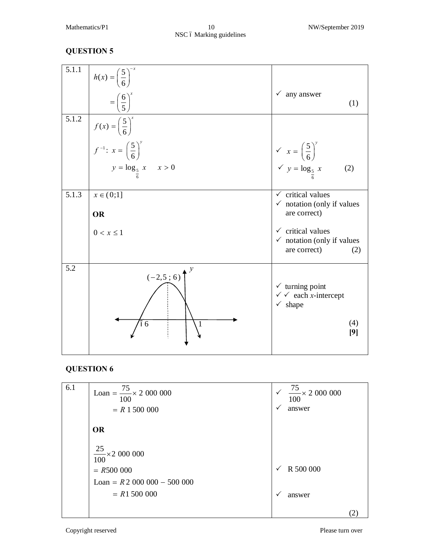#### Mathematics/P1 10 10 NW/September 2019 NSC ó Marking guidelines

#### **QUESTION 5**

| 5.1.1 | $h(x) = \left(\frac{5}{6}\right)^{-x}$<br>$=\left(\frac{6}{5}\right)^{x}$           | $\checkmark$ any answer<br>(1)                                                                                       |
|-------|-------------------------------------------------------------------------------------|----------------------------------------------------------------------------------------------------------------------|
| 5.1.2 | $f(x) = \left(\frac{5}{6}\right)^{x}$<br>$f^{-1}: x = \left(\frac{5}{6}\right)^{y}$ |                                                                                                                      |
|       | $y = \log_{\frac{5}{7}} x \quad x > 0$                                              | $x = \left(\frac{5}{6}\right)^{y}$<br>$y = \log_{\frac{5}{6}} x$<br>(2)                                              |
| 5.1.3 | $x \in (0,1]$<br><b>OR</b>                                                          | $\checkmark$ critical values<br>$\checkmark$ notation (only if values<br>are correct)                                |
|       | $0 < x \leq 1$                                                                      | $\checkmark$ critical values<br>$\checkmark$ notation (only if values<br>are correct)<br>(2)                         |
| 5.2   | $(-2,5;6)$<br>6<br>1                                                                | $\checkmark$ turning point<br>$\checkmark$ $\checkmark$ each <i>x</i> -intercept<br>$\checkmark$ shape<br>(4)<br>[9] |

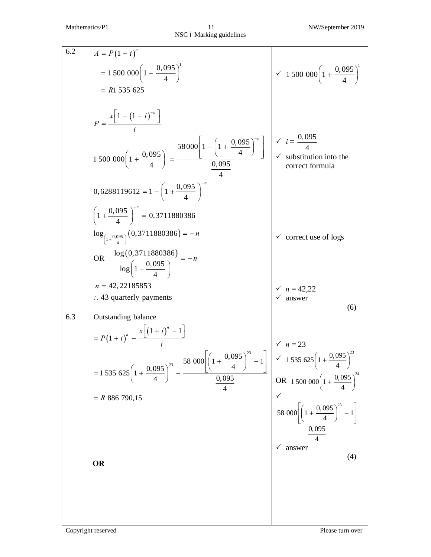| 6.2 | $A = P(1 + i)^n$                                                                                                                                                                           |                                                                                  |
|-----|--------------------------------------------------------------------------------------------------------------------------------------------------------------------------------------------|----------------------------------------------------------------------------------|
|     | $= 1500000\left(1+\frac{0.095}{4}\right)^{1}$                                                                                                                                              | $\sim 1500\ 000\left(1+\frac{0.095}{4}\right)^{1}$                               |
|     | $= R1 535 625$                                                                                                                                                                             |                                                                                  |
|     | $P = \frac{x[1-(1+i)^{-n}]}{1-x}$                                                                                                                                                          |                                                                                  |
|     |                                                                                                                                                                                            |                                                                                  |
|     | $0,6288119612 = 1 - \left(1 + \frac{0.095}{4}\right)^{10}$                                                                                                                                 |                                                                                  |
|     | $\left(1+\frac{0.095}{4}\right)^{-n} = 0.3711880386$                                                                                                                                       |                                                                                  |
|     | $\log_{(1+\frac{0.095}{4})}(0,3711880386) = -n$                                                                                                                                            | $\checkmark$ correct use of logs                                                 |
|     | OR $\frac{\log(0,3711880386)}{\log(1+\frac{0,095}{4})} = -n$                                                                                                                               |                                                                                  |
|     | $n = 42,22185853$                                                                                                                                                                          |                                                                                  |
|     | $\therefore$ 43 quarterly payments                                                                                                                                                         | $\sqrt{n} = 42,22$<br>answer<br>(6)                                              |
| 6.3 | Outstanding balance                                                                                                                                                                        |                                                                                  |
|     | $= P(1 + i)^n - \frac{x \left[ (1 + i)^n - 1 \right]}{n}$                                                                                                                                  |                                                                                  |
|     | 58 000 $\left[\left(1+\frac{0.095}{4}\right)^{23}-1\right]$ $\left \begin{array}{cc} \sqrt{n}=23 \\ \sqrt{n}=23 \\ \sqrt{n}=1535625\left(1+\frac{0.095}{4}\right)^{23} \end{array}\right $ |                                                                                  |
|     | $= 1535625\left(1+\frac{0.095}{4}\right)^{23}$<br>$\underline{0,095}$<br>$\overline{\mathcal{L}}$                                                                                          | OR 1 500 000 $\left(1+\frac{0.095}{4}\right)^{24}$                               |
|     | $=$ R 886 790,15                                                                                                                                                                           |                                                                                  |
|     |                                                                                                                                                                                            | 58 000 $\left[\left(1+\frac{0.095}{4}\right)^{23}-1\right]$<br>$\frac{0,095}{4}$ |
|     |                                                                                                                                                                                            | answer                                                                           |
|     | <b>OR</b>                                                                                                                                                                                  | (4)                                                                              |
|     |                                                                                                                                                                                            |                                                                                  |
|     |                                                                                                                                                                                            |                                                                                  |
|     |                                                                                                                                                                                            |                                                                                  |
|     |                                                                                                                                                                                            |                                                                                  |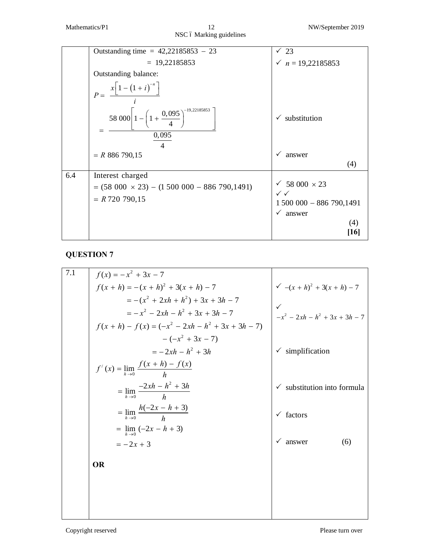|     | Outstanding time = $42,22185853 - 23$                                       | $\sqrt{23}$                                       |
|-----|-----------------------------------------------------------------------------|---------------------------------------------------|
|     | $= 19,22185853$                                                             | $\checkmark$ n = 19,22185853                      |
|     | Outstanding balance:                                                        |                                                   |
|     | $x\left[1-\left(1+i\right)^{-n}\right]$<br>$P =$                            |                                                   |
|     | 58 000 $1 - \left(1 + \frac{0.095}{4}\right)$<br>0,095                      | $\checkmark$ substitution                         |
|     |                                                                             |                                                   |
|     | $=$ R 886 790,15                                                            | answer<br>$\checkmark$                            |
|     |                                                                             | (4)                                               |
| 6.4 | Interest charged<br>$= (58\ 000 \times 23) - (1\ 500\ 000 - 886\ 790,1491)$ | ✓ 58 000 $\times$ 23<br>$\checkmark$ $\checkmark$ |
|     | $= R720790,15$                                                              | $1500000 - 886790,1491$                           |
|     |                                                                             | $\checkmark$ answer                               |
|     |                                                                             | (4)                                               |
|     |                                                                             | [16]                                              |

| 7.1 | $f(x) = -x^2 + 3x - 7$                               |                                  |
|-----|------------------------------------------------------|----------------------------------|
|     | $f(x+h) = -(x+h)^2 + 3(x+h) - 7$                     | $\sqrt{-(x+h)^2+3(x+h)-7}$       |
|     | $= -(x^2 + 2xh + h^2) + 3x + 3h - 7$                 | $\checkmark$                     |
|     | $=-x^2-2xh-h^2+3x+3h-7$                              | $-x^2 - 2xh - h^2 + 3x + 3h - 7$ |
|     | $f(x + h) - f(x) = (-x^2 - 2xh - h^2 + 3x + 3h - 7)$ |                                  |
|     | $-(-x^2+3x-7)$                                       |                                  |
|     | $=-2xh-h^2+3h$                                       | simplification                   |
|     | $f'(x) = \lim_{h \to 0} \frac{f(x+h) - f(x)}{h}$     |                                  |
|     | $= \lim_{h \to 0} \frac{-2xh - h^2 + 3h}{h}$         | substitution into formula        |
|     | $=$ $\lim_{h \to 0} \frac{h(-2x - h + 3)}{h}$        | $\checkmark$ factors             |
|     | = $\lim_{h \to 0}$ (-2x – h + 3)                     |                                  |
|     | $=-2x+3$                                             | $\checkmark$<br>answer<br>(6)    |
|     | <b>OR</b>                                            |                                  |
|     |                                                      |                                  |
|     |                                                      |                                  |
|     |                                                      |                                  |
|     |                                                      |                                  |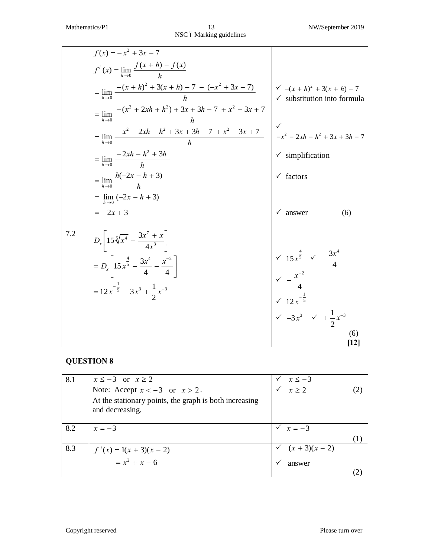|     | $f(x) = -x^2 + 3x - 7$                                                        |                                                                                                                                            |
|-----|-------------------------------------------------------------------------------|--------------------------------------------------------------------------------------------------------------------------------------------|
|     | $f'(x) = \lim_{h \to 0} \frac{f(x+h) - f(x)}{h}$                              |                                                                                                                                            |
|     | $= \lim_{h\to 0} \frac{-(x+h)^2 + 3(x+h) - 7 - (-x^2 + 3x - 7)}{h}$           | $\sqrt{-(x+h)^2+3(x+h)-7}$<br>$\checkmark$ substitution into formula                                                                       |
|     | $= \lim_{h\to 0} \frac{-(x^2+2xh+h^2)+3x+3h-7+x^2-3x+7}{h}$                   |                                                                                                                                            |
|     | $=\lim_{h\to 0}\frac{-x^2-2xh-h^2+3x+3h-7+x^2-3x+7}{h}$                       |                                                                                                                                            |
|     | $=\lim_{h\to 0}\frac{-2xh-h^2+3h}{h}$                                         | $\checkmark$ simplification                                                                                                                |
|     | $=\lim_{h\to 0}\frac{h(-2x-h+3)}{h}$                                          | $\checkmark$ factors                                                                                                                       |
|     | $=$ $\lim_{h\to 0}$ $(-2x - h + 3)$                                           |                                                                                                                                            |
|     | $=-2x+3$                                                                      | answer<br>(6)                                                                                                                              |
| 7.2 | $D_x\left[15\sqrt[5]{x^4} - \frac{3x'+x}{4x^3}\right]$                        |                                                                                                                                            |
|     | $= D_x \left  15 x^{\frac{4}{5}} - \frac{3x^4}{4} - \frac{x^{-2}}{4} \right $ |                                                                                                                                            |
|     | $= 12x^{-\frac{1}{5}} - 3x^3 + \frac{1}{2}x^{-3}$                             | $\begin{array}{ccc} \sqrt{15x^{\frac{4}{5}}} & \sqrt{-\frac{3x^4}{4}} \\ \sqrt{-\frac{x^{-2}}{4}} & \sqrt{12x^{-\frac{1}{5}}} \end{array}$ |
|     |                                                                               |                                                                                                                                            |
|     |                                                                               | $\sqrt{-3x^3}$ $\sqrt{1 + \frac{1}{2}x^{-3}}$                                                                                              |
|     |                                                                               | (6)<br>12                                                                                                                                  |

| 8.1 | $x \le -3$ or $x \ge 2$                                                   | $x \le -3$<br>$x \ge 2$ |  |
|-----|---------------------------------------------------------------------------|-------------------------|--|
|     | Note: Accept $x < -3$ or $x > 2$ .                                        |                         |  |
|     | At the stationary points, the graph is both increasing<br>and decreasing. |                         |  |
| 8.2 | $x=-3$                                                                    | $\sqrt{x} = -3$         |  |
|     |                                                                           |                         |  |
| 8.3 | $f'(x) = 1(x + 3)(x - 2)$<br>= $x2 + x - 6$                               | $(x + 3)(x - 2)$        |  |
|     |                                                                           | answer                  |  |
|     |                                                                           |                         |  |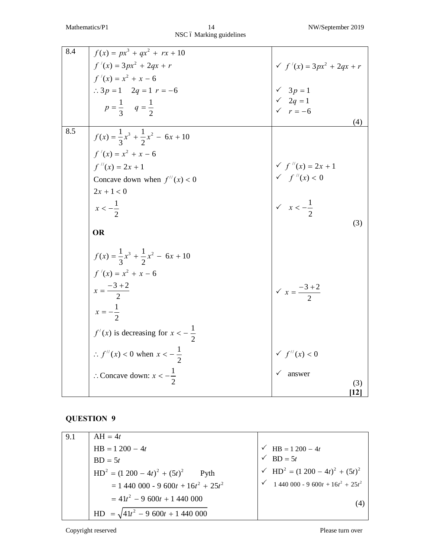| 8.4 | $f(x) = px^{3} + qx^{2} + rx + 10$                                                                                                             |                                                               |
|-----|------------------------------------------------------------------------------------------------------------------------------------------------|---------------------------------------------------------------|
|     | $f'(x) = 3px^2 + 2qx + r$<br>$f'(x) = x^2 + x - 6$<br>$\therefore 3p = 1 \quad 2q = 1 \quad r = -6$<br>$p = \frac{1}{3} \quad q = \frac{1}{2}$ | $f'(x) = 3px^2 + 2qx + r$                                     |
|     |                                                                                                                                                |                                                               |
|     |                                                                                                                                                |                                                               |
|     |                                                                                                                                                | V 3 <i>p</i> = 1<br>V 2 <i>q</i> = 1<br>V r = -6              |
|     |                                                                                                                                                |                                                               |
| 8.5 |                                                                                                                                                | (4)                                                           |
|     | $f(x) = \frac{1}{3}x^3 + \frac{1}{2}x^2 - 6x + 10$                                                                                             |                                                               |
|     | $f'(x) = x^2 + x - 6$                                                                                                                          |                                                               |
|     | $f''(x) = 2x + 1$                                                                                                                              | $f''(x) = 2x + 1$<br>$f''(x) < 0$                             |
|     | Concave down when $f''(x) < 0$                                                                                                                 |                                                               |
|     | $2x + 1 < 0$                                                                                                                                   | $\begin{vmatrix} x & x \\ y & x & -\frac{1}{2} \end{vmatrix}$ |
|     | $x < -\frac{1}{2}$                                                                                                                             |                                                               |
|     |                                                                                                                                                |                                                               |
|     | <b>OR</b>                                                                                                                                      | (3)                                                           |
|     | $f(x) = \frac{1}{3}x^3 + \frac{1}{2}x^2 - 6x + 10$<br>$f'(x) = x^2 + x - 6$<br>$x = \frac{-3 + 2}{2}$<br>$x = -\frac{1}{2}$                    |                                                               |
|     |                                                                                                                                                |                                                               |
|     |                                                                                                                                                | $\sqrt{x} = \frac{-3 + 2}{2}$                                 |
|     |                                                                                                                                                |                                                               |
|     |                                                                                                                                                |                                                               |
|     |                                                                                                                                                |                                                               |
|     | $f'(x)$ is decreasing for $x < -\frac{1}{2}$<br>$\therefore f''(x) < 0$ when $x < -\frac{1}{2}$                                                | f''(x) < 0                                                    |
|     | : Concave down: $x < -\frac{1}{2}$                                                                                                             | answer                                                        |
|     |                                                                                                                                                | (3)                                                           |
|     |                                                                                                                                                | $\mathbf{[12]}$                                               |

| 9.1 | $AH = 4t$                                   |                                                                       |
|-----|---------------------------------------------|-----------------------------------------------------------------------|
|     | $HB = 1200 - 4t$                            | $\sqrt{\text{HB}} = 1200 - 4t$                                        |
|     | $BD = 5t$                                   | $\sqrt{BD} = 5t$                                                      |
|     | $HD2 = (1 200 - 4t)2 + (5t)2$ Pyth          | $\sqrt{HD^2} = (1\ 200 - 4t)^2 + (5t)^2$                              |
|     | $= 1,440,000 - 9,600t + 16t^2 + 25t^2$      | $\checkmark$ 1 440 000 - 9 600t + 16t <sup>2</sup> + 25t <sup>2</sup> |
|     | $=41t^2-9\ 600t+1\ 440\ 000$                | (4)                                                                   |
|     | $HD = \sqrt{41t^2 - 9\,600t + 1\,440\,000}$ |                                                                       |

Copyright reserved Please turn over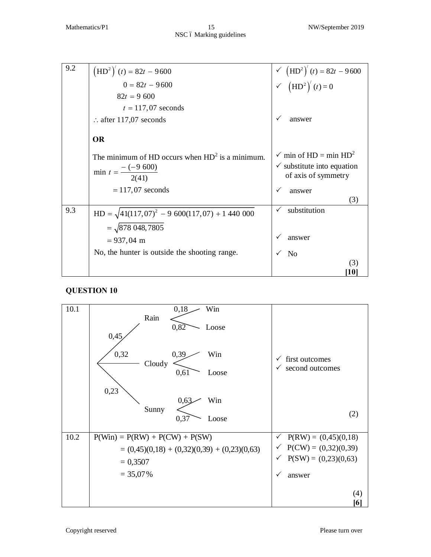| 9.2 | $(HD2)'(t) = 82t - 9600$                            | V $(HD^2)'(t) = 82t - 9600$<br>V $(HD^2)'(t) = 0$ |
|-----|-----------------------------------------------------|---------------------------------------------------|
|     | $0 = 82t - 9600$                                    |                                                   |
|     | $82t = 9600$                                        |                                                   |
|     | $t = 117,07$ seconds                                |                                                   |
|     | $\therefore$ after 117,07 seconds                   | answer                                            |
|     | <b>OR</b>                                           |                                                   |
|     | The minimum of HD occurs when $HD2$ is a minimum.   | $\checkmark$ min of HD = min HD <sup>2</sup>      |
|     |                                                     | $\checkmark$ substitute into equation             |
|     | min $t = \frac{-(-9\ 600)}{2(41)}$                  | of axis of symmetry                               |
|     | $= 117,07$ seconds                                  | answer                                            |
|     |                                                     | (3)                                               |
| 9.3 | $HD = \sqrt{41(117,07)^2 - 9600(117,07) + 1440000}$ | substitution                                      |
|     | $=\sqrt{878\,048,7805}$                             |                                                   |
|     | $= 937,04 \text{ m}$                                | answer                                            |
|     | No, the hunter is outside the shooting range.       | N <sub>0</sub>                                    |
|     |                                                     | (3)                                               |
|     |                                                     | 10                                                |

| 10.1 | 0,18<br>Win<br>Rain                                          |                                        |
|------|--------------------------------------------------------------|----------------------------------------|
|      | 0,82<br>Loose<br>0,45                                        |                                        |
|      | 0,32<br>0,39<br>Win<br>Cloudy                                | first outcomes<br>✓                    |
|      | 0,61<br>Loose                                                | $\checkmark$ second outcomes           |
|      | 0,23<br>0,63<br>Win                                          |                                        |
|      | Sunny<br>0,37<br>Loose                                       | (2)                                    |
| 10.2 | $P(\text{Win}) = P(\text{RW}) + P(\text{CW}) + P(\text{SW})$ | $P(RW) = (0,45)(0,18)$<br>$\checkmark$ |
|      | $= (0,45)(0,18) + (0,32)(0,39) + (0,23)(0,63)$               | $\check{P}$ P(CW) = (0,32)(0,39)       |
|      | $= 0,3507$                                                   | $P(SW) = (0,23)(0,63)$<br>$\checkmark$ |
|      | $= 35,07\%$                                                  | ✓<br>answer                            |
|      |                                                              | (4)                                    |
|      |                                                              | [6]                                    |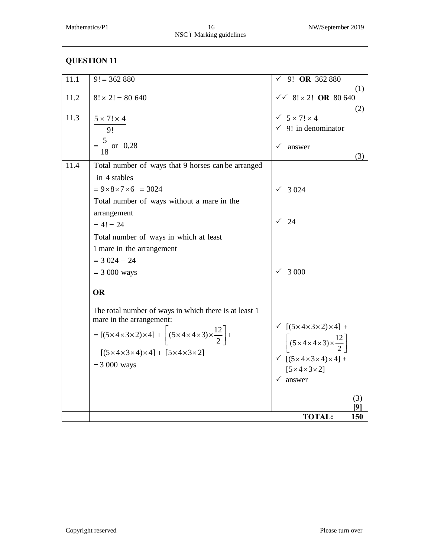| 11.1 | $9! = 362880$                                                                                                         | 9! OR 362 880                                                                                                                                                                                             |
|------|-----------------------------------------------------------------------------------------------------------------------|-----------------------------------------------------------------------------------------------------------------------------------------------------------------------------------------------------------|
|      |                                                                                                                       | (1)                                                                                                                                                                                                       |
| 11.2 | $8! \times 2! = 80640$                                                                                                | $8! \times 2!$ OR 80 640<br>$\checkmark$                                                                                                                                                                  |
|      |                                                                                                                       | (2)                                                                                                                                                                                                       |
| 11.3 | $5 \times 7! \times 4$                                                                                                | $5 \times 7! \times 4$                                                                                                                                                                                    |
|      | 9!                                                                                                                    | $\checkmark$ 9! in denominator                                                                                                                                                                            |
|      | $=\frac{5}{18}$ or 0.28                                                                                               | answer                                                                                                                                                                                                    |
|      |                                                                                                                       | (3)                                                                                                                                                                                                       |
| 11.4 | Total number of ways that 9 horses can be arranged                                                                    |                                                                                                                                                                                                           |
|      | in 4 stables                                                                                                          |                                                                                                                                                                                                           |
|      | $= 9 \times 8 \times 7 \times 6 = 3024$                                                                               | 3 0 2 4                                                                                                                                                                                                   |
|      | Total number of ways without a mare in the                                                                            |                                                                                                                                                                                                           |
|      | arrangement                                                                                                           |                                                                                                                                                                                                           |
|      | $= 4! = 24$                                                                                                           | 24                                                                                                                                                                                                        |
|      | Total number of ways in which at least                                                                                |                                                                                                                                                                                                           |
|      | 1 mare in the arrangement                                                                                             |                                                                                                                                                                                                           |
|      | $=$ 3 024 $-$ 24                                                                                                      |                                                                                                                                                                                                           |
|      | $= 3000$ ways                                                                                                         | 3 0 0 0                                                                                                                                                                                                   |
|      | <b>OR</b>                                                                                                             |                                                                                                                                                                                                           |
|      |                                                                                                                       |                                                                                                                                                                                                           |
|      | The total number of ways in which there is at least 1                                                                 |                                                                                                                                                                                                           |
|      | mare in the arrangement:                                                                                              |                                                                                                                                                                                                           |
|      | = $[(5 \times 4 \times 3 \times 2) \times 4]$ + $\left  (5 \times 4 \times 4 \times 3) \times \frac{12}{2} \right $ + |                                                                                                                                                                                                           |
|      |                                                                                                                       | $\begin{aligned} \begin{array}{c} \checkmark & \left[ (5 \times 4 \times 3 \times 2) \times 4 \right] + \\ & \left[ (5 \times 4 \times 4 \times 3) \times \frac{12}{2} \right] \end{array} \end{aligned}$ |
|      | $[(5 \times 4 \times 3 \times 4) \times 4] + [5 \times 4 \times 3 \times 2]$                                          | $\checkmark$ [(5 × 4 × 3 × 4) × 4] +                                                                                                                                                                      |
|      | $= 3000$ ways                                                                                                         | $[5 \times 4 \times 3 \times 2]$                                                                                                                                                                          |
|      |                                                                                                                       | $\checkmark$ answer                                                                                                                                                                                       |
|      |                                                                                                                       |                                                                                                                                                                                                           |
|      |                                                                                                                       | (3)<br>91                                                                                                                                                                                                 |
|      |                                                                                                                       | <b>TOTAL:</b><br>150                                                                                                                                                                                      |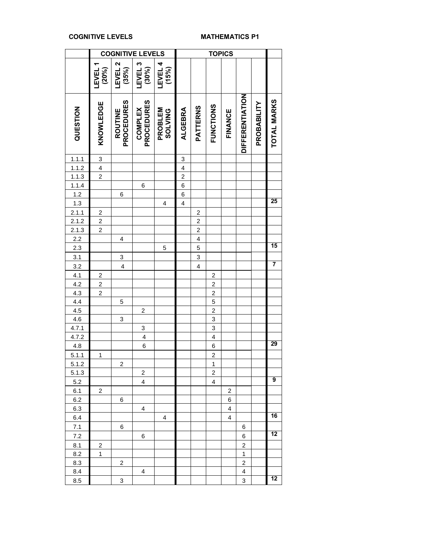#### **COGNITIVE LEVELS MATHEMATICS P1**

 $\overline{a}$ 

|                                                                                               |                  |                                     | <b>COGNITIVE LEVELS</b>      |                           |                         |                 | <b>TOPICS</b>           |         |                        |             |                    |
|-----------------------------------------------------------------------------------------------|------------------|-------------------------------------|------------------------------|---------------------------|-------------------------|-----------------|-------------------------|---------|------------------------|-------------|--------------------|
|                                                                                               | LEVEL<br>(20%)   | LEVEL <sub>2</sub><br>(35%)         | LEVEL <sub>3</sub><br>(30%)  | <b>LEVEL 4</b><br>(15%)   |                         |                 |                         |         |                        |             |                    |
| QUESTION                                                                                      | <b>KNOWLEDGE</b> | <b>PROCEDURES</b><br><b>ROUTINE</b> | <b>PROCEDURES</b><br>COMPLEX | PROBLEM<br><b>SOLVING</b> | <b>ALGEBRA</b>          | <b>PATTERNS</b> | <b>FUNCTIONS</b>        | FINANCE | <b>DIFFERENTIATION</b> | PROBABILITY | <b>TOTAL MARKS</b> |
| 1.1.1                                                                                         | $\overline{3}$   |                                     |                              |                           | 3                       |                 |                         |         |                        |             |                    |
|                                                                                               | $\overline{4}$   |                                     |                              |                           | $\overline{\mathbf{4}}$ |                 |                         |         |                        |             |                    |
|                                                                                               | $\overline{2}$   |                                     |                              |                           | $\overline{2}$          |                 |                         |         |                        |             |                    |
|                                                                                               |                  |                                     | 6                            |                           | $\overline{6}$          |                 |                         |         |                        |             |                    |
|                                                                                               |                  | 6                                   |                              |                           | 6                       |                 |                         |         |                        |             |                    |
| $\frac{1.1.2}{1.1.3}$ $\frac{1.1.3}{1.2}$ $\frac{1.3}{1.3}$                                   |                  |                                     |                              | 4                         | $\overline{\mathbf{4}}$ |                 |                         |         |                        |             | 25                 |
|                                                                                               |                  |                                     |                              |                           |                         | 2               |                         |         |                        |             |                    |
| $\frac{2.1.1}{2.1.2}$                                                                         | $\frac{2}{2}$    |                                     |                              |                           |                         | $\overline{c}$  |                         |         |                        |             |                    |
| 2.1.3                                                                                         | $\overline{c}$   |                                     |                              |                           |                         | $\overline{c}$  |                         |         |                        |             |                    |
|                                                                                               |                  | $\overline{\mathbf{4}}$             |                              |                           |                         | $\overline{4}$  |                         |         |                        |             |                    |
| $\frac{2.2}{2.3}$                                                                             |                  |                                     |                              | 5                         |                         | $\overline{5}$  |                         |         |                        |             | 15                 |
|                                                                                               |                  | $\overline{3}$                      |                              |                           |                         |                 |                         |         |                        |             |                    |
| $\begin{array}{r} 3.1 \\ 3.2 \\ 4.1 \\ \hline 4.2 \\ 4.3 \\ \hline 4.4 \\ \hline \end{array}$ |                  | $\overline{4}$                      |                              |                           |                         | $\frac{3}{4}$   |                         |         |                        |             | 7                  |
|                                                                                               | $\overline{2}$   |                                     |                              |                           |                         |                 | $\overline{\mathbf{c}}$ |         |                        |             |                    |
|                                                                                               |                  |                                     |                              |                           |                         |                 | $\overline{2}$          |         |                        |             |                    |
|                                                                                               | $\frac{2}{2}$    |                                     |                              |                           |                         |                 | $\overline{c}$          |         |                        |             |                    |
|                                                                                               |                  | 5                                   |                              |                           |                         |                 | 5                       |         |                        |             |                    |
|                                                                                               |                  |                                     | $\boldsymbol{2}$             |                           |                         |                 | $\overline{\mathbf{c}}$ |         |                        |             |                    |
|                                                                                               |                  | 3                                   |                              |                           |                         |                 | 3                       |         |                        |             |                    |
| $\frac{4.6}{4.7.1}$                                                                           |                  |                                     | 3                            |                           |                         |                 | 3                       |         |                        |             |                    |
|                                                                                               |                  |                                     | 4                            |                           |                         |                 | $\overline{\mathbf{4}}$ |         |                        |             |                    |
| $4.7.2$<br>$4.8$                                                                              |                  |                                     | 6                            |                           |                         |                 | $\overline{6}$          |         |                        |             | 29                 |
| 5.1.1                                                                                         | 1                |                                     |                              |                           |                         |                 | $\overline{2}$          |         |                        |             |                    |
| 5.1.2                                                                                         |                  | $\overline{c}$                      |                              |                           |                         |                 | $\overline{1}$          |         |                        |             |                    |
| 5.1.3                                                                                         |                  |                                     | $\mathbf 2$                  |                           |                         |                 | 2                       |         |                        |             |                    |
| 5.2                                                                                           |                  |                                     | 4                            |                           |                         |                 | 4                       |         |                        |             | 9                  |
| 6.1                                                                                           | $\overline{c}$   |                                     |                              |                           |                         |                 |                         | 2       |                        |             |                    |
| 6.2                                                                                           |                  | 6                                   |                              |                           |                         |                 |                         | 6       |                        |             |                    |
| 6.3                                                                                           |                  |                                     | 4                            |                           |                         |                 |                         | 4       |                        |             |                    |
| 6.4                                                                                           |                  |                                     |                              | 4                         |                         |                 |                         | 4       |                        |             | 16                 |
| 7.1                                                                                           |                  | 6                                   |                              |                           |                         |                 |                         |         | 6                      |             |                    |
| 7.2                                                                                           |                  |                                     | 6                            |                           |                         |                 |                         |         | 6                      |             | 12                 |
|                                                                                               |                  |                                     |                              |                           |                         |                 |                         |         | $\overline{c}$         |             |                    |
| 8.1                                                                                           | 2<br>1           |                                     |                              |                           |                         |                 |                         |         | $\mathbf{1}$           |             |                    |
| 8.2                                                                                           |                  | $\overline{2}$                      |                              |                           |                         |                 |                         |         | $\overline{c}$         |             |                    |
| 8.3                                                                                           |                  |                                     |                              |                           |                         |                 |                         |         |                        |             |                    |
| 8.4                                                                                           |                  |                                     | 4                            |                           |                         |                 |                         |         | 4                      |             | 12                 |
| 8.5                                                                                           |                  | 3                                   |                              |                           |                         |                 |                         |         | 3                      |             |                    |